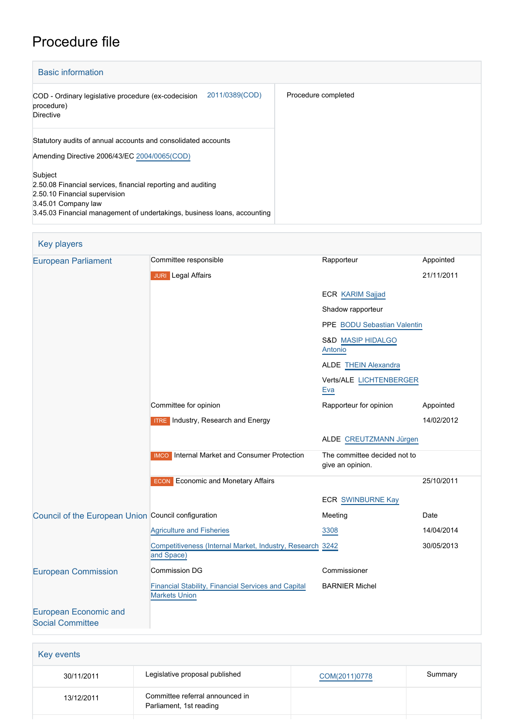# Procedure file

| <b>Basic information</b>                                                                                                                                                                                    |                     |
|-------------------------------------------------------------------------------------------------------------------------------------------------------------------------------------------------------------|---------------------|
| 2011/0389(COD)<br>COD - Ordinary legislative procedure (ex-codecision<br>procedure)<br>Directive                                                                                                            | Procedure completed |
| Statutory audits of annual accounts and consolidated accounts<br>Amending Directive 2006/43/EC 2004/0065(COD)                                                                                               |                     |
| Subject<br>2.50.08 Financial services, financial reporting and auditing<br>2.50.10 Financial supervision<br>3.45.01 Company law<br>3.45.03 Financial management of undertakings, business loans, accounting |                     |

| <b>Key players</b>                                      |                                                                             |                                                  |            |
|---------------------------------------------------------|-----------------------------------------------------------------------------|--------------------------------------------------|------------|
| <b>European Parliament</b>                              | Committee responsible                                                       | Rapporteur                                       | Appointed  |
|                                                         | <b>JURI</b> Legal Affairs                                                   |                                                  | 21/11/2011 |
|                                                         |                                                                             | ECR KARIM Sajjad                                 |            |
|                                                         |                                                                             | Shadow rapporteur                                |            |
|                                                         |                                                                             | PPE BODU Sebastian Valentin                      |            |
|                                                         |                                                                             | S&D MASIP HIDALGO<br>Antonio                     |            |
|                                                         |                                                                             | <b>ALDE THEIN Alexandra</b>                      |            |
|                                                         |                                                                             | Verts/ALE LICHTENBERGER<br>Eva                   |            |
|                                                         | Committee for opinion                                                       | Rapporteur for opinion                           | Appointed  |
|                                                         | <b>ITRE</b> Industry, Research and Energy                                   |                                                  | 14/02/2012 |
|                                                         |                                                                             | ALDE CREUTZMANN Jürgen                           |            |
|                                                         | <b>IMCO</b> Internal Market and Consumer Protection                         | The committee decided not to<br>give an opinion. |            |
|                                                         | <b>ECON</b> Economic and Monetary Affairs                                   |                                                  | 25/10/2011 |
|                                                         |                                                                             | <b>ECR SWINBURNE Kay</b>                         |            |
| Council of the European Union Council configuration     |                                                                             | Meeting                                          | Date       |
|                                                         | <b>Agriculture and Fisheries</b>                                            | 3308                                             | 14/04/2014 |
|                                                         | Competitiveness (Internal Market, Industry, Research 3242<br>and Space)     |                                                  | 30/05/2013 |
| <b>European Commission</b>                              | <b>Commission DG</b>                                                        | Commissioner                                     |            |
|                                                         | Financial Stability, Financial Services and Capital<br><b>Markets Union</b> | <b>BARNIER Michel</b>                            |            |
| <b>European Economic and</b><br><b>Social Committee</b> |                                                                             |                                                  |            |

| Key events |                                                            |               |         |  |
|------------|------------------------------------------------------------|---------------|---------|--|
| 30/11/2011 | Legislative proposal published                             | COM(2011)0778 | Summary |  |
| 13/12/2011 | Committee referral announced in<br>Parliament, 1st reading |               |         |  |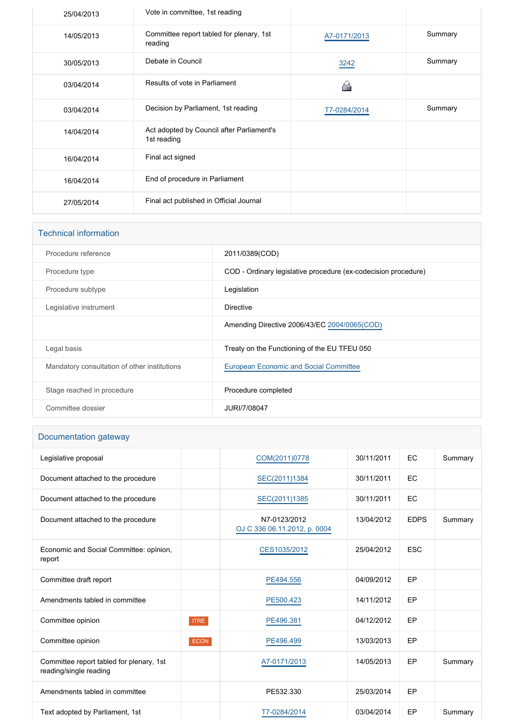| 25/04/2013 | Vote in committee, 1st reading                           |              |         |
|------------|----------------------------------------------------------|--------------|---------|
| 14/05/2013 | Committee report tabled for plenary, 1st<br>reading      | A7-0171/2013 | Summary |
| 30/05/2013 | Debate in Council                                        | 3242         | Summary |
| 03/04/2014 | Results of vote in Parliament                            |              |         |
| 03/04/2014 | Decision by Parliament, 1st reading                      | T7-0284/2014 | Summary |
| 14/04/2014 | Act adopted by Council after Parliament's<br>1st reading |              |         |
| 16/04/2014 | Final act signed                                         |              |         |
| 16/04/2014 | End of procedure in Parliament                           |              |         |
| 27/05/2014 | Final act published in Official Journal                  |              |         |

| <b>Technical information</b>                 |                                                                |
|----------------------------------------------|----------------------------------------------------------------|
| Procedure reference                          | 2011/0389(COD)                                                 |
| Procedure type                               | COD - Ordinary legislative procedure (ex-codecision procedure) |
| Procedure subtype                            | Legislation                                                    |
| Legislative instrument                       | <b>Directive</b>                                               |
|                                              | Amending Directive 2006/43/EC 2004/0065(COD)                   |
| Legal basis                                  | Treaty on the Functioning of the EU TFEU 050                   |
| Mandatory consultation of other institutions | <b>European Economic and Social Committee</b>                  |
| Stage reached in procedure                   | Procedure completed                                            |
| Committee dossier                            | JURI/7/08047                                                   |

# Documentation gateway

| Legislative proposal                                               |             | COM(2011)0778                                | 30/11/2011 | EC          | Summary |
|--------------------------------------------------------------------|-------------|----------------------------------------------|------------|-------------|---------|
| Document attached to the procedure                                 |             | SEC(2011)1384                                | 30/11/2011 | EC          |         |
| Document attached to the procedure                                 |             | SEC(2011)1385                                | 30/11/2011 | EC          |         |
| Document attached to the procedure                                 |             | N7-0123/2012<br>OJ C 336 06.11.2012, p. 0004 | 13/04/2012 | <b>EDPS</b> | Summary |
| Economic and Social Committee: opinion,<br>report                  |             | CES1035/2012                                 | 25/04/2012 | <b>ESC</b>  |         |
| Committee draft report                                             |             | PE494.556                                    | 04/09/2012 | EP          |         |
| Amendments tabled in committee                                     |             | PE500.423                                    | 14/11/2012 | EP          |         |
| Committee opinion                                                  | <b>ITRE</b> | PE496.381                                    | 04/12/2012 | EP          |         |
| Committee opinion                                                  | <b>ECON</b> | PE496.499                                    | 13/03/2013 | EP          |         |
| Committee report tabled for plenary, 1st<br>reading/single reading |             | A7-0171/2013                                 | 14/05/2013 | EP          | Summary |
| Amendments tabled in committee                                     |             | PE532.330                                    | 25/03/2014 | EP          |         |
| Text adopted by Parliament, 1st                                    |             | T7-0284/2014                                 | 03/04/2014 | EP          | Summary |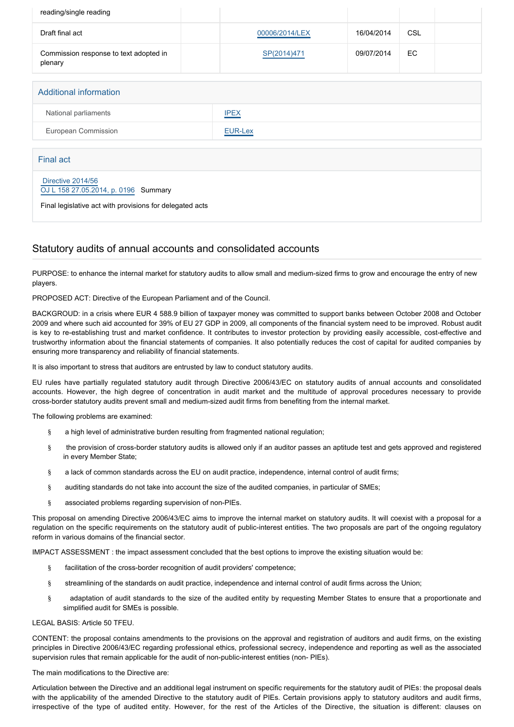| reading/single reading                                    |                |            |            |  |
|-----------------------------------------------------------|----------------|------------|------------|--|
|                                                           |                |            |            |  |
| Draft final act                                           | 00006/2014/LEX | 16/04/2014 | <b>CSL</b> |  |
| Commission response to text adopted in<br>plenary         | SP(2014)471    | 09/07/2014 | EC         |  |
|                                                           |                |            |            |  |
| <b>Additional information</b>                             |                |            |            |  |
| National parliaments                                      | <b>IPEX</b>    |            |            |  |
| European Commission                                       | EUR-Lex        |            |            |  |
|                                                           |                |            |            |  |
| <b>Final act</b>                                          |                |            |            |  |
| Directive 2014/56<br>OJ L 158 27.05.2014, p. 0196 Summary |                |            |            |  |
| Final legislative act with provisions for delegated acts  |                |            |            |  |

# Statutory audits of annual accounts and consolidated accounts

PURPOSE: to enhance the internal market for statutory audits to allow small and medium-sized firms to grow and encourage the entry of new players.

PROPOSED ACT: Directive of the European Parliament and of the Council.

BACKGROUD: in a crisis where EUR 4 588.9 billion of taxpayer money was committed to support banks between October 2008 and October 2009 and where such aid accounted for 39% of EU 27 GDP in 2009, all components of the financial system need to be improved. Robust audit is key to re-establishing trust and market confidence. It contributes to investor protection by providing easily accessible, cost-effective and trustworthy information about the financial statements of companies. It also potentially reduces the cost of capital for audited companies by ensuring more transparency and reliability of financial statements.

It is also important to stress that auditors are entrusted by law to conduct statutory audits.

EU rules have partially regulated statutory audit through Directive 2006/43/EC on statutory audits of annual accounts and consolidated accounts. However, the high degree of concentration in audit market and the multitude of approval procedures necessary to provide cross-border statutory audits prevent small and medium-sized audit firms from benefiting from the internal market.

The following problems are examined:

- § a high level of administrative burden resulting from fragmented national regulation;
- § the provision of cross-border statutory audits is allowed only if an auditor passes an aptitude test and gets approved and registered in every Member State;
- § a lack of common standards across the EU on audit practice, independence, internal control of audit firms;
- § auditing standards do not take into account the size of the audited companies, in particular of SMEs;
- § associated problems regarding supervision of non-PIEs.

This proposal on amending Directive 2006/43/EC aims to improve the internal market on statutory audits. It will coexist with a proposal for a regulation on the specific requirements on the statutory audit of public-interest entities. The two proposals are part of the ongoing regulatory reform in various domains of the financial sector.

IMPACT ASSESSMENT : the impact assessment concluded that the best options to improve the existing situation would be:

- § facilitation of the cross-border recognition of audit providers' competence;
- § streamlining of the standards on audit practice, independence and internal control of audit firms across the Union;
- § adaptation of audit standards to the size of the audited entity by requesting Member States to ensure that a proportionate and simplified audit for SMEs is possible.

#### LEGAL BASIS: Article 50 TFEU.

CONTENT: the proposal contains amendments to the provisions on the approval and registration of auditors and audit firms, on the existing principles in Directive 2006/43/EC regarding professional ethics, professional secrecy, independence and reporting as well as the associated supervision rules that remain applicable for the audit of non-public-interest entities (non- PIEs).

The main modifications to the Directive are:

Articulation between the Directive and an additional legal instrument on specific requirements for the statutory audit of PIEs: the proposal deals with the applicability of the amended Directive to the statutory audit of PIEs. Certain provisions apply to statutory auditors and audit firms, irrespective of the type of audited entity. However, for the rest of the Articles of the Directive, the situation is different: clauses on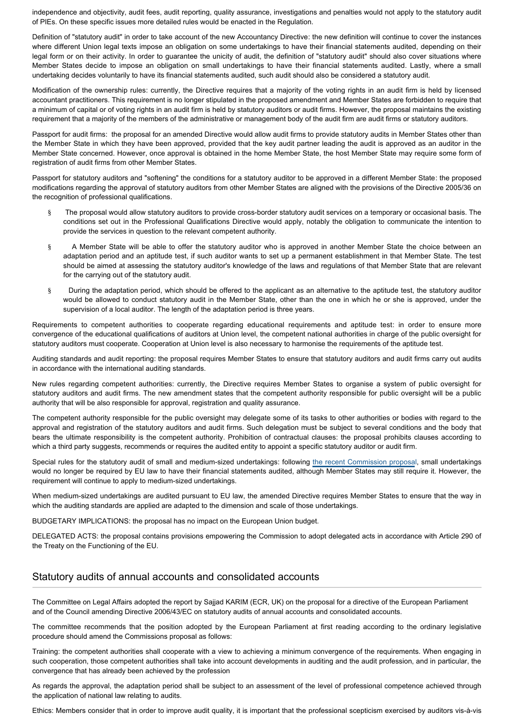independence and objectivity, audit fees, audit reporting, quality assurance, investigations and penalties would not apply to the statutory audit of PIEs. On these specific issues more detailed rules would be enacted in the Regulation.

Definition of "statutory audit" in order to take account of the new Accountancy Directive: the new definition will continue to cover the instances where different Union legal texts impose an obligation on some undertakings to have their financial statements audited, depending on their legal form or on their activity. In order to guarantee the unicity of audit, the definition of "statutory audit" should also cover situations where Member States decide to impose an obligation on small undertakings to have their financial statements audited. Lastly, where a small undertaking decides voluntarily to have its financial statements audited, such audit should also be considered a statutory audit.

Modification of the ownership rules: currently, the Directive requires that a majority of the voting rights in an audit firm is held by licensed accountant practitioners. This requirement is no longer stipulated in the proposed amendment and Member States are forbidden to require that a minimum of capital or of voting rights in an audit firm is held by statutory auditors or audit firms. However, the proposal maintains the existing requirement that a majority of the members of the administrative or management body of the audit firm are audit firms or statutory auditors.

Passport for audit firms: the proposal for an amended Directive would allow audit firms to provide statutory audits in Member States other than the Member State in which they have been approved, provided that the key audit partner leading the audit is approved as an auditor in the Member State concerned. However, once approval is obtained in the home Member State, the host Member State may require some form of registration of audit firms from other Member States.

Passport for statutory auditors and "softening" the conditions for a statutory auditor to be approved in a different Member State: the proposed modifications regarding the approval of statutory auditors from other Member States are aligned with the provisions of the Directive 2005/36 on the recognition of professional qualifications.

- The proposal would allow statutory auditors to provide cross-border statutory audit services on a temporary or occasional basis. The conditions set out in the Professional Qualifications Directive would apply, notably the obligation to communicate the intention to provide the services in question to the relevant competent authority.
- § A Member State will be able to offer the statutory auditor who is approved in another Member State the choice between an adaptation period and an aptitude test, if such auditor wants to set up a permanent establishment in that Member State. The test should be aimed at assessing the statutory auditor's knowledge of the laws and regulations of that Member State that are relevant for the carrying out of the statutory audit.
- § During the adaptation period, which should be offered to the applicant as an alternative to the aptitude test, the statutory auditor would be allowed to conduct statutory audit in the Member State, other than the one in which he or she is approved, under the supervision of a local auditor. The length of the adaptation period is three years.

Requirements to competent authorities to cooperate regarding educational requirements and aptitude test: in order to ensure more convergence of the educational qualifications of auditors at Union level, the competent national authorities in charge of the public oversight for statutory auditors must cooperate. Cooperation at Union level is also necessary to harmonise the requirements of the aptitude test.

Auditing standards and audit reporting: the proposal requires Member States to ensure that statutory auditors and audit firms carry out audits in accordance with the international auditing standards.

New rules regarding competent authorities: currently, the Directive requires Member States to organise a system of public oversight for statutory auditors and audit firms. The new amendment states that the competent authority responsible for public oversight will be a public authority that will be also responsible for approval, registration and quality assurance.

The competent authority responsible for the public oversight may delegate some of its tasks to other authorities or bodies with regard to the approval and registration of the statutory auditors and audit firms. Such delegation must be subject to several conditions and the body that bears the ultimate responsibility is the competent authority. Prohibition of contractual clauses: the proposal prohibits clauses according to which a third party suggests, recommends or requires the audited entity to appoint a specific statutory auditor or audit firm.

Special rules for the statutory audit of small and medium-sized undertakings: following [the recent Commission proposa](http://www.eur-lex.europa.eu/LexUriServ/LexUriServ.do?uri=COM:2011:0684:FIN:EN:PDF)l, small undertakings would no longer be required by EU law to have their financial statements audited, although Member States may still require it. However, the requirement will continue to apply to medium-sized undertakings.

When medium-sized undertakings are audited pursuant to EU law, the amended Directive requires Member States to ensure that the way in which the auditing standards are applied are adapted to the dimension and scale of those undertakings.

BUDGETARY IMPLICATIONS: the proposal has no impact on the European Union budget.

DELEGATED ACTS: the proposal contains provisions empowering the Commission to adopt delegated acts in accordance with Article 290 of the Treaty on the Functioning of the EU.

## Statutory audits of annual accounts and consolidated accounts

The Committee on Legal Affairs adopted the report by Sajjad KARIM (ECR, UK) on the proposal for a directive of the European Parliament and of the Council amending Directive 2006/43/EC on statutory audits of annual accounts and consolidated accounts.

The committee recommends that the position adopted by the European Parliament at first reading according to the ordinary legislative procedure should amend the Commissions proposal as follows:

Training: the competent authorities shall cooperate with a view to achieving a minimum convergence of the requirements. When engaging in such cooperation, those competent authorities shall take into account developments in auditing and the audit profession, and in particular, the convergence that has already been achieved by the profession

As regards the approval, the adaptation period shall be subject to an assessment of the level of professional competence achieved through the application of national law relating to audits.

Ethics: Members consider that in order to improve audit quality, it is important that the professional scepticism exercised by auditors vis-à-vis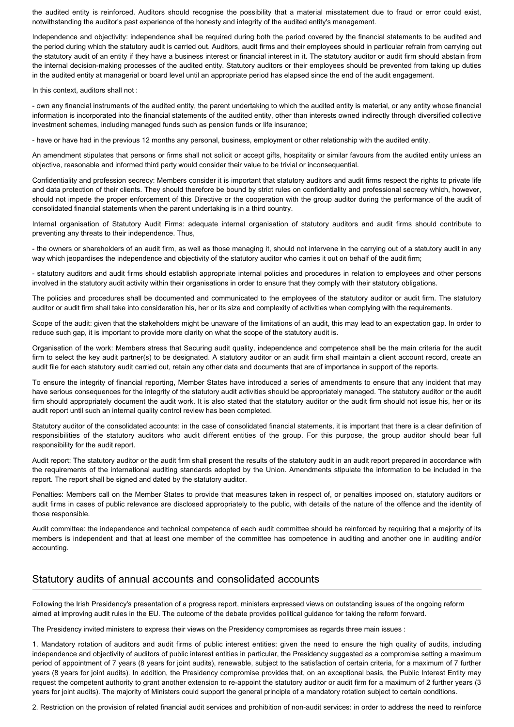the audited entity is reinforced. Auditors should recognise the possibility that a material misstatement due to fraud or error could exist, notwithstanding the auditor's past experience of the honesty and integrity of the audited entity's management.

Independence and objectivity: independence shall be required during both the period covered by the financial statements to be audited and the period during which the statutory audit is carried out. Auditors, audit firms and their employees should in particular refrain from carrying out the statutory audit of an entity if they have a business interest or financial interest in it. The statutory auditor or audit firm should abstain from the internal decision-making processes of the audited entity. Statutory auditors or their employees should be prevented from taking up duties in the audited entity at managerial or board level until an appropriate period has elapsed since the end of the audit engagement.

In this context, auditors shall not :

- own any financial instruments of the audited entity, the parent undertaking to which the audited entity is material, or any entity whose financial information is incorporated into the financial statements of the audited entity, other than interests owned indirectly through diversified collective investment schemes, including managed funds such as pension funds or life insurance;

- have or have had in the previous 12 months any personal, business, employment or other relationship with the audited entity.

An amendment stipulates that persons or firms shall not solicit or accept gifts, hospitality or similar favours from the audited entity unless an objective, reasonable and informed third party would consider their value to be trivial or inconsequential.

Confidentiality and profession secrecy: Members consider it is important that statutory auditors and audit firms respect the rights to private life and data protection of their clients. They should therefore be bound by strict rules on confidentiality and professional secrecy which, however, should not impede the proper enforcement of this Directive or the cooperation with the group auditor during the performance of the audit of consolidated financial statements when the parent undertaking is in a third country.

Internal organisation of Statutory Audit Firms: adequate internal organisation of statutory auditors and audit firms should contribute to preventing any threats to their independence. Thus,

- the owners or shareholders of an audit firm, as well as those managing it, should not intervene in the carrying out of a statutory audit in any way which jeopardises the independence and objectivity of the statutory auditor who carries it out on behalf of the audit firm;

- statutory auditors and audit firms should establish appropriate internal policies and procedures in relation to employees and other persons involved in the statutory audit activity within their organisations in order to ensure that they comply with their statutory obligations.

The policies and procedures shall be documented and communicated to the employees of the statutory auditor or audit firm. The statutory auditor or audit firm shall take into consideration his, her or its size and complexity of activities when complying with the requirements.

Scope of the audit: given that the stakeholders might be unaware of the limitations of an audit, this may lead to an expectation gap. In order to reduce such gap, it is important to provide more clarity on what the scope of the statutory audit is.

Organisation of the work: Members stress that Securing audit quality, independence and competence shall be the main criteria for the audit firm to select the key audit partner(s) to be designated. A statutory auditor or an audit firm shall maintain a client account record, create an audit file for each statutory audit carried out, retain any other data and documents that are of importance in support of the reports.

To ensure the integrity of financial reporting, Member States have introduced a series of amendments to ensure that any incident that may have serious consequences for the integrity of the statutory audit activities should be appropriately managed. The statutory auditor or the audit firm should appropriately document the audit work. It is also stated that the statutory auditor or the audit firm should not issue his, her or its audit report until such an internal quality control review has been completed.

Statutory auditor of the consolidated accounts: in the case of consolidated financial statements, it is important that there is a clear definition of responsibilities of the statutory auditors who audit different entities of the group. For this purpose, the group auditor should bear full responsibility for the audit report.

Audit report: The statutory auditor or the audit firm shall present the results of the statutory audit in an audit report prepared in accordance with the requirements of the international auditing standards adopted by the Union. Amendments stipulate the information to be included in the report. The report shall be signed and dated by the statutory auditor.

Penalties: Members call on the Member States to provide that measures taken in respect of, or penalties imposed on, statutory auditors or audit firms in cases of public relevance are disclosed appropriately to the public, with details of the nature of the offence and the identity of those responsible.

Audit committee: the independence and technical competence of each audit committee should be reinforced by requiring that a majority of its members is independent and that at least one member of the committee has competence in auditing and another one in auditing and/or accounting.

#### Statutory audits of annual accounts and consolidated accounts

Following the Irish Presidency's presentation of a progress report, ministers expressed views on outstanding issues of the ongoing reform aimed at improving audit rules in the EU. The outcome of the debate provides political guidance for taking the reform forward.

The Presidency invited ministers to express their views on the Presidency compromises as regards three main issues :

1. Mandatory rotation of auditors and audit firms of public interest entities: given the need to ensure the high quality of audits, including independence and objectivity of auditors of public interest entities in particular, the Presidency suggested as a compromise setting a maximum period of appointment of 7 years (8 years for joint audits), renewable, subject to the satisfaction of certain criteria, for a maximum of 7 further years (8 years for joint audits). In addition, the Presidency compromise provides that, on an exceptional basis, the Public Interest Entity may request the competent authority to grant another extension to re-appoint the statutory auditor or audit firm for a maximum of 2 further years (3 years for joint audits). The majority of Ministers could support the general principle of a mandatory rotation subject to certain conditions.

2. Restriction on the provision of related financial audit services and prohibition of non-audit services: in order to address the need to reinforce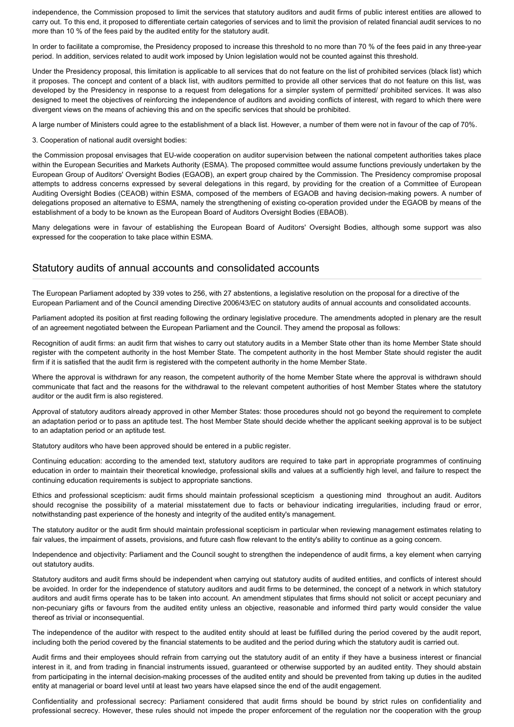independence, the Commission proposed to limit the services that statutory auditors and audit firms of public interest entities are allowed to carry out. To this end, it proposed to differentiate certain categories of services and to limit the provision of related financial audit services to no more than 10 % of the fees paid by the audited entity for the statutory audit.

In order to facilitate a compromise, the Presidency proposed to increase this threshold to no more than 70 % of the fees paid in any three-year period. In addition, services related to audit work imposed by Union legislation would not be counted against this threshold.

Under the Presidency proposal, this limitation is applicable to all services that do not feature on the list of prohibited services (black list) which it proposes. The concept and content of a black list, with auditors permitted to provide all other services that do not feature on this list, was developed by the Presidency in response to a request from delegations for a simpler system of permitted/ prohibited services. It was also designed to meet the objectives of reinforcing the independence of auditors and avoiding conflicts of interest, with regard to which there were divergent views on the means of achieving this and on the specific services that should be prohibited.

A large number of Ministers could agree to the establishment of a black list. However, a number of them were not in favour of the cap of 70%.

3. Cooperation of national audit oversight bodies:

the Commission proposal envisages that EU-wide cooperation on auditor supervision between the national competent authorities takes place within the European Securities and Markets Authority (ESMA). The proposed committee would assume functions previously undertaken by the European Group of Auditors' Oversight Bodies (EGAOB), an expert group chaired by the Commission. The Presidency compromise proposal attempts to address concerns expressed by several delegations in this regard, by providing for the creation of a Committee of European Auditing Oversight Bodies (CEAOB) within ESMA, composed of the members of EGAOB and having decision-making powers. A number of delegations proposed an alternative to ESMA, namely the strengthening of existing co-operation provided under the EGAOB by means of the establishment of a body to be known as the European Board of Auditors Oversight Bodies (EBAOB).

Many delegations were in favour of establishing the European Board of Auditors' Oversight Bodies, although some support was also expressed for the cooperation to take place within ESMA.

## Statutory audits of annual accounts and consolidated accounts

The European Parliament adopted by 339 votes to 256, with 27 abstentions, a legislative resolution on the proposal for a directive of the European Parliament and of the Council amending Directive 2006/43/EC on statutory audits of annual accounts and consolidated accounts.

Parliament adopted its position at first reading following the ordinary legislative procedure. The amendments adopted in plenary are the result of an agreement negotiated between the European Parliament and the Council. They amend the proposal as follows:

Recognition of audit firms: an audit firm that wishes to carry out statutory audits in a Member State other than its home Member State should register with the competent authority in the host Member State. The competent authority in the host Member State should register the audit firm if it is satisfied that the audit firm is registered with the competent authority in the home Member State.

Where the approval is withdrawn for any reason, the competent authority of the home Member State where the approval is withdrawn should communicate that fact and the reasons for the withdrawal to the relevant competent authorities of host Member States where the statutory auditor or the audit firm is also registered.

Approval of statutory auditors already approved in other Member States: those procedures should not go beyond the requirement to complete an adaptation period or to pass an aptitude test. The host Member State should decide whether the applicant seeking approval is to be subject to an adaptation period or an aptitude test.

Statutory auditors who have been approved should be entered in a public register.

Continuing education: according to the amended text, statutory auditors are required to take part in appropriate programmes of continuing education in order to maintain their theoretical knowledge, professional skills and values at a sufficiently high level, and failure to respect the continuing education requirements is subject to appropriate sanctions.

Ethics and professional scepticism: audit firms should maintain professional scepticism a questioning mind throughout an audit. Auditors should recognise the possibility of a material misstatement due to facts or behaviour indicating irregularities, including fraud or error, notwithstanding past experience of the honesty and integrity of the audited entity's management.

The statutory auditor or the audit firm should maintain professional scepticism in particular when reviewing management estimates relating to fair values, the impairment of assets, provisions, and future cash flow relevant to the entity's ability to continue as a going concern.

Independence and objectivity: Parliament and the Council sought to strengthen the independence of audit firms, a key element when carrying out statutory audits.

Statutory auditors and audit firms should be independent when carrying out statutory audits of audited entities, and conflicts of interest should be avoided. In order for the independence of statutory auditors and audit firms to be determined, the concept of a network in which statutory auditors and audit firms operate has to be taken into account. An amendment stipulates that firms should not solicit or accept pecuniary and non-pecuniary gifts or favours from the audited entity unless an objective, reasonable and informed third party would consider the value thereof as trivial or inconsequential.

The independence of the auditor with respect to the audited entity should at least be fulfilled during the period covered by the audit report, including both the period covered by the financial statements to be audited and the period during which the statutory audit is carried out.

Audit firms and their employees should refrain from carrying out the statutory audit of an entity if they have a business interest or financial interest in it, and from trading in financial instruments issued, guaranteed or otherwise supported by an audited entity. They should abstain from participating in the internal decision-making processes of the audited entity and should be prevented from taking up duties in the audited entity at managerial or board level until at least two years have elapsed since the end of the audit engagement.

Confidentiality and professional secrecy: Parliament considered that audit firms should be bound by strict rules on confidentiality and professional secrecy. However, these rules should not impede the proper enforcement of the regulation nor the cooperation with the group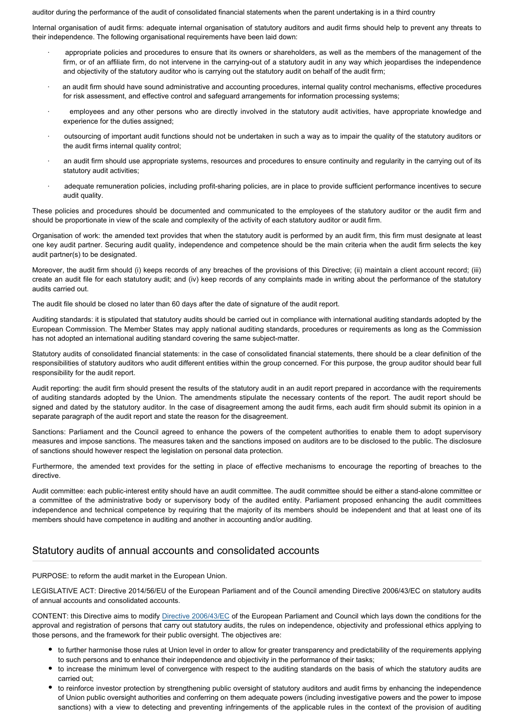auditor during the performance of the audit of consolidated financial statements when the parent undertaking is in a third country

Internal organisation of audit firms: adequate internal organisation of statutory auditors and audit firms should help to prevent any threats to their independence. The following organisational requirements have been laid down:

- · appropriate policies and procedures to ensure that its owners or shareholders, as well as the members of the management of the firm, or of an affiliate firm, do not intervene in the carrying-out of a statutory audit in any way which jeopardises the independence and objectivity of the statutory auditor who is carrying out the statutory audit on behalf of the audit firm;
- an audit firm should have sound administrative and accounting procedures, internal quality control mechanisms, effective procedures for risk assessment, and effective control and safeguard arrangements for information processing systems;
- employees and any other persons who are directly involved in the statutory audit activities, have appropriate knowledge and experience for the duties assigned;
- · outsourcing of important audit functions should not be undertaken in such a way as to impair the quality of the statutory auditors or the audit firms internal quality control;
- an audit firm should use appropriate systems, resources and procedures to ensure continuity and regularity in the carrying out of its statutory audit activities;
- adequate remuneration policies, including profit-sharing policies, are in place to provide sufficient performance incentives to secure audit quality.

These policies and procedures should be documented and communicated to the employees of the statutory auditor or the audit firm and should be proportionate in view of the scale and complexity of the activity of each statutory auditor or audit firm.

Organisation of work: the amended text provides that when the statutory audit is performed by an audit firm, this firm must designate at least one key audit partner. Securing audit quality, independence and competence should be the main criteria when the audit firm selects the key audit partner(s) to be designated.

Moreover, the audit firm should (i) keeps records of any breaches of the provisions of this Directive; (ii) maintain a client account record; (iii) create an audit file for each statutory audit; and (iv) keep records of any complaints made in writing about the performance of the statutory audits carried out.

The audit file should be closed no later than 60 days after the date of signature of the audit report.

Auditing standards: it is stipulated that statutory audits should be carried out in compliance with international auditing standards adopted by the European Commission. The Member States may apply national auditing standards, procedures or requirements as long as the Commission has not adopted an international auditing standard covering the same subject-matter.

Statutory audits of consolidated financial statements: in the case of consolidated financial statements, there should be a clear definition of the responsibilities of statutory auditors who audit different entities within the group concerned. For this purpose, the group auditor should bear full responsibility for the audit report.

Audit reporting: the audit firm should present the results of the statutory audit in an audit report prepared in accordance with the requirements of auditing standards adopted by the Union. The amendments stipulate the necessary contents of the report. The audit report should be signed and dated by the statutory auditor. In the case of disagreement among the audit firms, each audit firm should submit its opinion in a separate paragraph of the audit report and state the reason for the disagreement.

Sanctions: Parliament and the Council agreed to enhance the powers of the competent authorities to enable them to adopt supervisory measures and impose sanctions. The measures taken and the sanctions imposed on auditors are to be disclosed to the public. The disclosure of sanctions should however respect the legislation on personal data protection.

Furthermore, the amended text provides for the setting in place of effective mechanisms to encourage the reporting of breaches to the directive.

Audit committee: each public-interest entity should have an audit committee. The audit committee should be either a stand-alone committee or a committee of the administrative body or supervisory body of the audited entity. Parliament proposed enhancing the audit committees independence and technical competence by requiring that the majority of its members should be independent and that at least one of its members should have competence in auditing and another in accounting and/or auditing.

# Statutory audits of annual accounts and consolidated accounts

PURPOSE: to reform the audit market in the European Union.

LEGISLATIVE ACT: Directive 2014/56/EU of the European Parliament and of the Council amending Directive 2006/43/EC on statutory audits of annual accounts and consolidated accounts.

CONTENT: this Directive aims to modify [Directive 2006/43/EC](http://www.europarl.europa.eu/oeil/popups/ficheprocedure.do?reference=2004/0065(COD)&l=EN) of the European Parliament and Council which lays down the conditions for the approval and registration of persons that carry out statutory audits, the rules on independence, objectivity and professional ethics applying to those persons, and the framework for their public oversight. The objectives are:

- to further harmonise those rules at Union level in order to allow for greater transparency and predictability of the requirements applying to such persons and to enhance their independence and objectivity in the performance of their tasks;
- to increase the minimum level of convergence with respect to the auditing standards on the basis of which the statutory audits are carried out;
- to reinforce investor protection by strengthening public oversight of statutory auditors and audit firms by enhancing the independence of Union public oversight authorities and conferring on them adequate powers (including investigative powers and the power to impose sanctions) with a view to detecting and preventing infringements of the applicable rules in the context of the provision of auditing